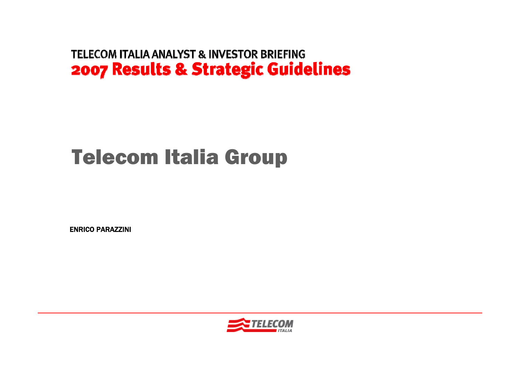# Telecom Italia Group

ENRICO PARAZZINI

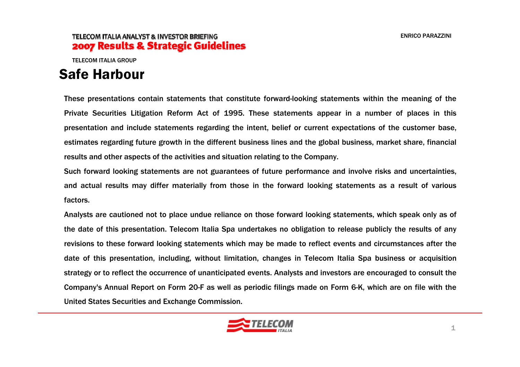TELECOM ITALIA GROUP

### Safe Harbour

These presentations contain statements that constitute forward-looking statements within the meaning of the Private Securities Litigation Reform Act of 1995. These statements appear in a number of places in this presentation and include statements regarding the intent, belief or current expectations of the customer base, estimates regarding future growth in the different business lines and the global business, market share, financial results and other aspects of the activities and situation relating to the Company.

Such forward looking statements are not guarantees of future performance and involve risks and uncertainties, and actual results may differ materially from those in the forward looking statements as a result of various factors.

Analysts are cautioned not to place undue reliance on those forward looking statements, which speak only as of the date of this presentation. Telecom Italia Spa undertakes no obligation to release publicly the results of any revisions to these forward looking statements which may be made to reflect events and circumstances after the date of this presentation, including, without limitation, changes in Telecom Italia Spa business or acquisition strategy or to reflect the occurrence of unanticipated events. Analysts and investors are encouraged to consult the Company's Annual Report on Form 20-F as well as periodic filings made on Form 6-K, which are on file with the United States Securities and Exchange Commission.

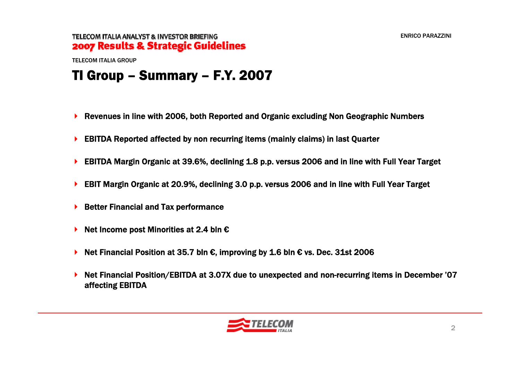TELECOM ITALIA GROUP

## TI Group – Summary – F.Y. 2007

- Revenues in line with 2006, both Reported and Organic excluding Non Geographic Numbers
- EBITDA Reported affected by non recurring items (mainly claims) in last Quarter
- EBITDA Margin Organic at 39.6%, declining 1.8 p.p. versus 2006 and in line with Full Year Target
- EBIT Margin Organic at 20.9%, declining 3.0 p.p. versus 2006 and in line with Full Year Target
- ▶ Better Financial and Tax performance
- Net Income post Minorities at 2.4 bln €
- Net Financial Position at 35.7 bln €, improving by 1.6 bln € vs. Dec. 31st 2006
- ▶ Net Financial Position/EBITDA at 3.07X due to unexpected and non-recurring items in December '07 affecting EBITDA

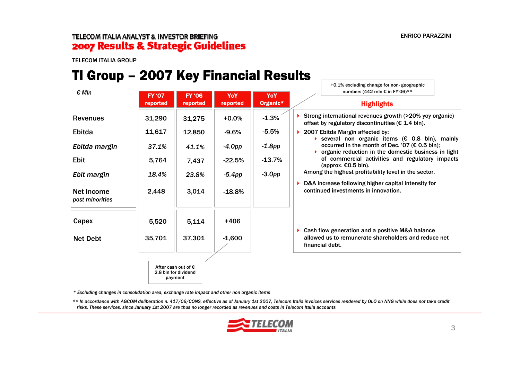+0.1% excluding change for non- geographic

### TELECOM ITALIA ANALYST & INVESTOR BRIEFING 2007 Results & Strategic Guidelines

TELECOM ITALIA GROUP

## TI Group – 2007 Key Financial Results

| $\epsilon$ MIn                | <b>FY '07</b> | <b>FY '06</b>                                                   | YoY       | YoY       | numbers (442 mln € in FY'06)**                                                                                                                                   |
|-------------------------------|---------------|-----------------------------------------------------------------|-----------|-----------|------------------------------------------------------------------------------------------------------------------------------------------------------------------|
|                               | reported      | reported                                                        | reported  | Organic*  | <b>Highlights</b>                                                                                                                                                |
| <b>Revenues</b>               | 31,290        | 31,275                                                          | $+0.0\%$  | $-1.3%$   | Strong international revenues growth (>20% yoy organic)<br>offset by regulatory discontinuities ( $\epsilon$ 1.4 bln).                                           |
| Ebitda                        | 11,617        | 12,850                                                          | $-9.6%$   | $-5.5%$   | 2007 Ebitda Margin affected by:                                                                                                                                  |
| Ebitda margin                 | 37.1%         | 41.1%                                                           | $-4.0pp$  | $-1.8$ pp | several non organic items (€ 0.8 bln), mainly<br>occurred in the month of Dec. '07 ( $\epsilon$ 0.5 bln);<br>organic reduction in the domestic business in light |
| <b>Ebit</b>                   | 5,764         | 7,437                                                           | $-22.5%$  | $-13.7%$  | of commercial activities and regulatory impacts<br>(approx. $€0.5$ bln).                                                                                         |
| Ebit margin                   | 18.4%         | 23.8%                                                           | $-5.4$ pp | $-3.0pp$  | Among the highest profitability level in the sector.                                                                                                             |
| Net Income<br>post minorities | 2,448         | 3,014                                                           | $-18.8%$  |           | D&A increase following higher capital intensity for<br>continued investments in innovation.                                                                      |
| Capex                         | 5,520         | 5,114                                                           | $+406$    |           |                                                                                                                                                                  |
| <b>Net Debt</b>               | 35,701        | 37,301                                                          | $-1,600$  |           | Cash flow generation and a positive M&A balance<br>▶<br>allowed us to remunerate shareholders and reduce net<br>financial debt.                                  |
|                               |               | After cash out of $\epsilon$<br>2.8 bln for dividend<br>payment |           |           |                                                                                                                                                                  |

*\* Excluding changes in consolidation area, exchange rate impact and other non organic items*

*\*\* In accordance with AGCOM deliberation n. 417/06/CONS, effective as of January 1st 2007, Telecom Italia invoices services rendered by OLO on NNG while does not take credit risks. These services, since January 1st 2007 are thus no longer recorded as revenues and costs in Telecom Italia accounts*

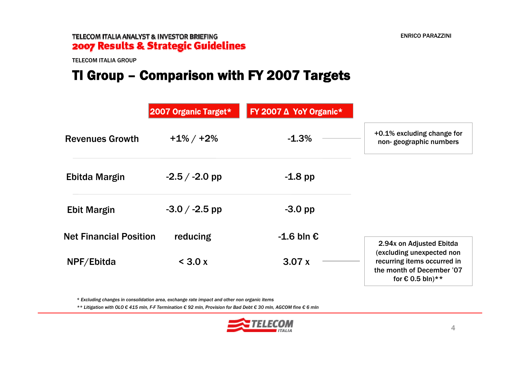TELECOM ITALIA GROUP

# TI Group – Comparison with FY 2007 Targets

|                               | 2007 Organic Target* | FY 2007 ∆ YoY Organic* |                                                                                                                    |
|-------------------------------|----------------------|------------------------|--------------------------------------------------------------------------------------------------------------------|
| <b>Revenues Growth</b>        | $+1\%$ / $+2\%$      | $-1.3%$                | +0.1% excluding change for<br>non-geographic numbers                                                               |
| Ebitda Margin                 | $-2.5 / -2.0$ pp     | $-1.8$ pp              |                                                                                                                    |
| <b>Ebit Margin</b>            | $-3.0 / -2.5$ pp     | $-3.0$ pp              |                                                                                                                    |
| <b>Net Financial Position</b> | reducing             | $-1.6$ bln $\epsilon$  | 2.94x on Adjusted Ebitda                                                                                           |
| NPF/Ebitda                    | $<$ 3.0 x            | 3.07x                  | (excluding unexpected non<br>recurring items occurred in<br>the month of December '07<br>for $\epsilon$ 0.5 bln)** |

*\* Excluding changes in consolidation area, exchange rate impact and other non organic items*

*\*\* Litigation with OLO € 415 mln, F-F Termination € 92 mln, Provision for Bad Debt € 30 mln, AGCOM fine € 6 mln*

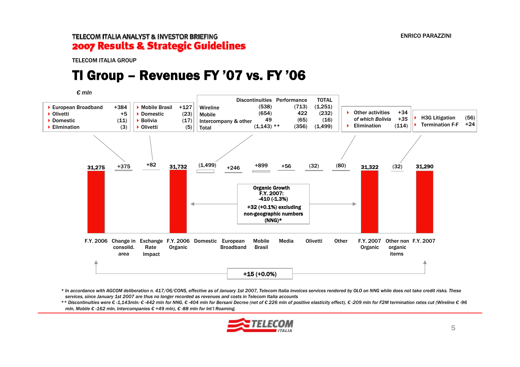TELECOM ITALIA GROUP

### TI Group – Revenues FY '07 vs. FY '06

*€ mln*



*\* In accordance with AGCOM deliberation n. 417/06/CONS, effective as of January 1st 2007, Telecom Italia invoices services rendered by OLO on NNG while does not take credit risks. These services, since January 1st 2007 are thus no longer recorded as revenues and costs in Telecom Italia accounts*

\*\* Discontinuities were € -1,143mln: € -442 mln for NNG, € -404 mln for Bersani Decree (net of € 226 mln of positive elasticity effect), € -209 mln for F2M termination rates cut (Wireline € -96 *mln, Mobile € -162 mln, Intercompanies € +49 mln), € -88 mln for Int'l Roaming.* 

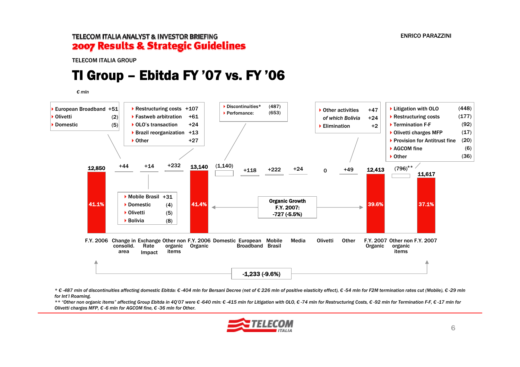TELECOM ITALIA GROUP

### TI Group – Ebitda FY '07 vs. FY '06

*€ mln*



\* €-487 mln of discontinuities affecting domestic Ebitda: €-404 mln for Bersani Decree (net of €226 mln of positive elasticity effect), €-54 mln for F2M termination rates cut (Mobile), €-29 mln *for Int'l Roaming.* 

\*\* "Other non organic items" affecting Group Ebitda in 4Q'07 were € -640 mln: € -415 mln for Litigation with OLO. € -74 mln for Restructuring Costs. € -92 mln for Termination F-F. € -17 mln for *Olivetti charges MFP, € -6 mln for AGCOM fine, € -36 mln for Other.* 

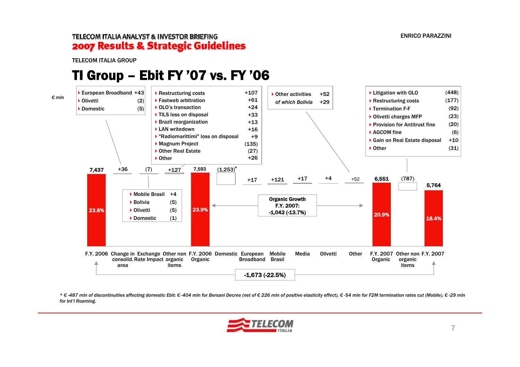TELECOM ITALIA GROUP

### TI Group – Ebit FY '07 vs. FY '06



\* €-487 mln of discontinuities affecting domestic Ebit: €-404 mln for Bersani Decree (net of €226 mln of positive elasticity effect), €-54 mln for F2M termination rates cut (Mobile), €-29 mln *for Int'l Roaming.* 

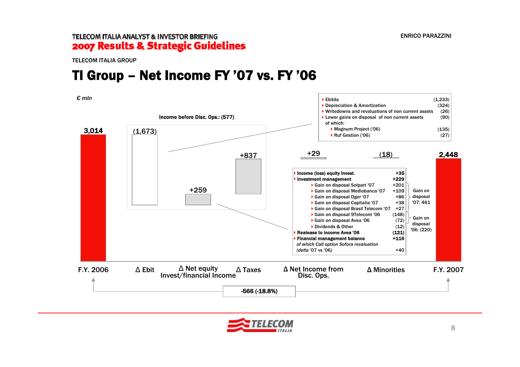TELECOM ITALIA GROUP

## TI Group – Net Income FY '07 vs. FY '06

*€ mln*



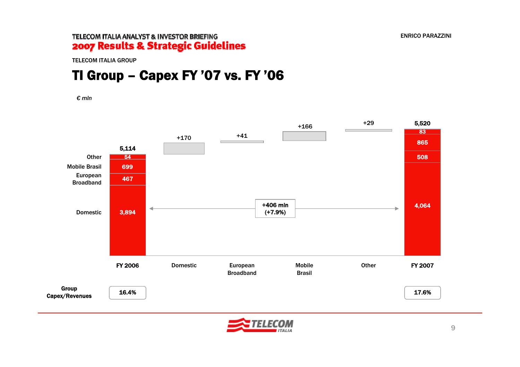TELECOM ITALIA GROUP

# TI Group – Capex FY '07 vs. FY '06

*€ mln*



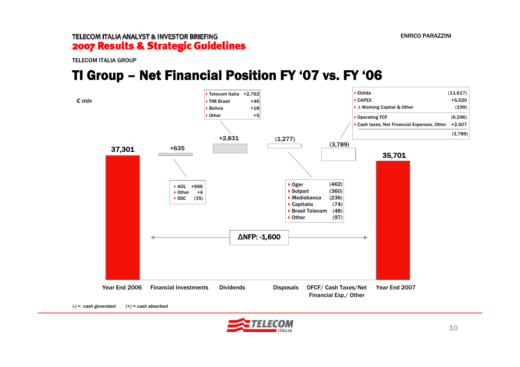TELECOM ITALIA GROUP

### TI Group – Net Financial Position FY '07 vs. FY '06



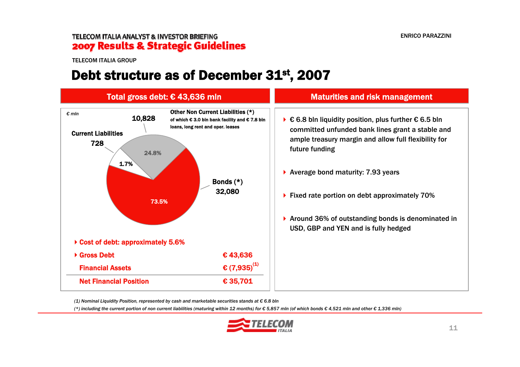TELECOM ITALIA GROUP

### Debt structure as of December 31<sup>st</sup>, 2007



*(1) Nominal Liquidity Position, represented by cash and marketable securities stands at € 6.8 bln*

(\*) including the current portion of non current liabilities (maturing within 12 months) for  $\epsilon$  5.857 mln (of which bonds  $\epsilon$  4.521 mln and other  $\epsilon$  1.336 mln)

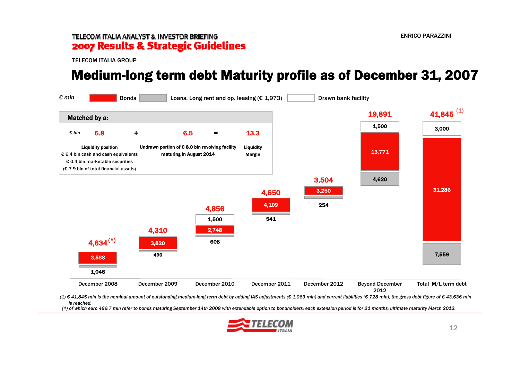TELECOM ITALIA GROUP

### Medium-long term debt Maturity profile as of December 31, 2007



(1) € 41,845 mln is the nominal amount of outstanding medium-long term debt by adding IAS adjustments (€ 1,063 mln) and current liabilities (€ 728 mln), the gross debt figure of € 43,636 mln *is reached.*

(\*) of which euro 499.7 mln refer to bonds maturing September 14th 2008 with extendable option to bondholders; each extension period is for 21 months; ultimate maturity March 2012.

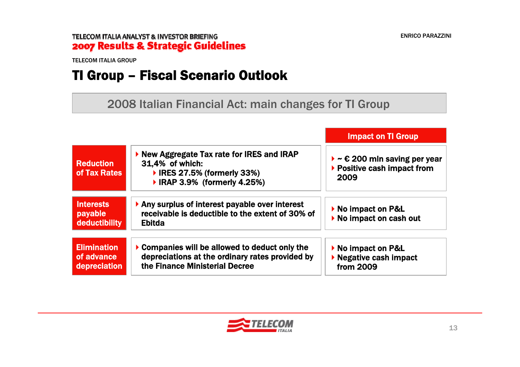TELECOM ITALIA GROUP

# TI Group – Fiscal Scenario Outlook

2008 Italian Financial Act: main changes for TI Group

|                                                  |                                                                                                                                   | <b>Impact on TI Group</b>                                                                    |
|--------------------------------------------------|-----------------------------------------------------------------------------------------------------------------------------------|----------------------------------------------------------------------------------------------|
| <b>Reduction</b><br>of Tax Rates                 | ▶ New Aggregate Tax rate for IRES and IRAP<br>31,4% of which:<br>▶ IRES 27.5% (formerly 33%)<br>▶ IRAP 3.9% (formerly 4.25%)      | $\triangleright$ ~ $\epsilon$ 200 mln saving per year<br>▶ Positive cash impact from<br>2009 |
| <b>Interests</b><br>payable<br>deductibility     | Any surplus of interest payable over interest<br>receivable is deductible to the extent of 30% of<br><b>Ebitda</b>                | ▶ No impact on P&L<br>▶ No impact on cash out                                                |
| <b>Elimination</b><br>of advance<br>depreciation | Companies will be allowed to deduct only the<br>depreciations at the ordinary rates provided by<br>the Finance Ministerial Decree | ▶ No impact on P&L<br>▶ Negative cash impact<br>from 2009                                    |

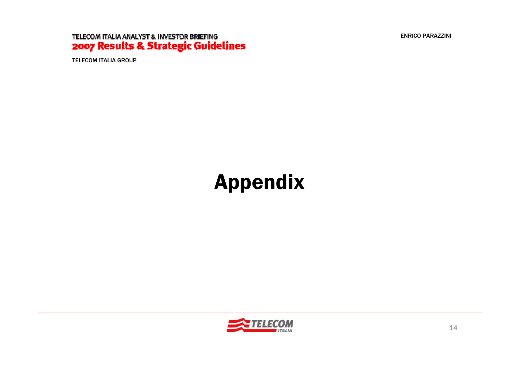ENRICO PARAZZINI

### TELECOM ITALIA ANALYST & INVESTOR BRIEFING 2007 Results & Strategic Guidelines

TELECOM ITALIA GROUP

# Appendix

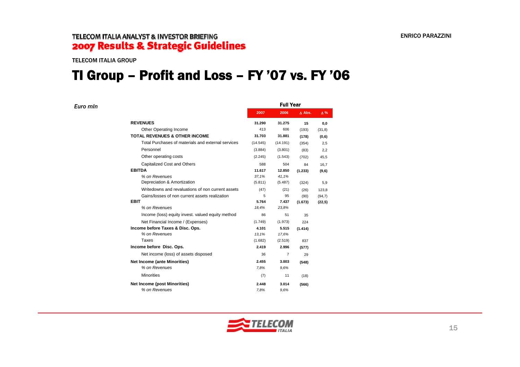TELECOM ITALIA GROUP

*Euro mln*

## TI Group – Profit and Loss – FY '07 vs. FY '06

| 2007     | 2006           | $\Delta$ Abs. | $\Delta\%$       |  |
|----------|----------------|---------------|------------------|--|
| 31.290   | 31.275         | 15            | 0,0              |  |
| 413      | 606            | (193)         | (31, 8)          |  |
| 31.703   | 31.881         | (178)         | (0,6)            |  |
| (14.545) | (14.191)       | (354)         | 2,5              |  |
| (3.884)  | (3.801)        | (83)          | 2,2              |  |
| (2.245)  | (1.543)        | (702)         | 45,5             |  |
| 588      | 504            | 84            | 16,7             |  |
| 11.617   | 12.850         | (1.233)       | (9,6)            |  |
| 37,1%    | 41,1%          |               |                  |  |
| (5.811)  | (5.487)        | (324)         | 5,9              |  |
| (47)     | (21)           | (26)          | 123,8            |  |
| 5        | 95             | (90)          | (94,7)           |  |
| 5.764    | 7.437          | (1.673)       | (22,5)           |  |
| 18,4%    | 23,8%          |               |                  |  |
| 86       | 51             | 35            |                  |  |
| (1.749)  | (1.973)        | 224           |                  |  |
| 4.101    | 5.515          | (1.414)       |                  |  |
| 13,1%    | 17.6%          |               |                  |  |
| (1.682)  | (2.519)        | 837           |                  |  |
| 2.419    | 2.996          | (577)         |                  |  |
| 36       | $\overline{7}$ | 29            |                  |  |
| 2.455    | 3.003          | (548)         |                  |  |
| 7,8%     | 9.6%           |               |                  |  |
| (7)      | 11             | (18)          |                  |  |
| 2.448    | 3.014          | (566)         |                  |  |
| 7.8%     | 9.6%           |               |                  |  |
|          |                |               | <b>Full Year</b> |  |

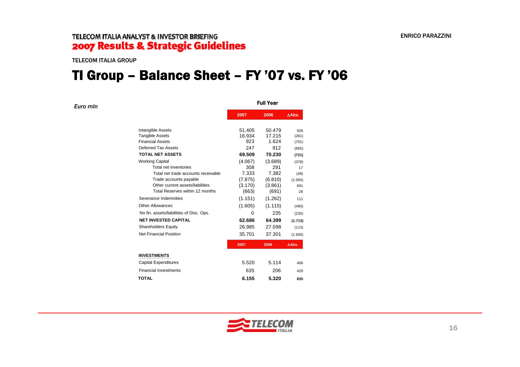TELECOM ITALIA GROUP

### TI Group – Balance Sheet – FY '07 vs. FY '06

| Euro min |                                                   | <b>Full Year</b> |                |               |  |  |  |  |  |
|----------|---------------------------------------------------|------------------|----------------|---------------|--|--|--|--|--|
|          |                                                   | 2007             | 2006           | $\Delta$ Abs. |  |  |  |  |  |
|          | Intangible Assets                                 | 51.405           | 50.479         | 926           |  |  |  |  |  |
|          | <b>Tangible Assets</b><br><b>Financial Assets</b> | 16.934           | 17.215         | (281)         |  |  |  |  |  |
|          | Deferred Tax Assets                               | 923              | 1.624          | (701)         |  |  |  |  |  |
|          | <b>TOTAL NET ASSETS</b>                           | 247<br>69.509    | 912<br>70.230  | (665)         |  |  |  |  |  |
|          |                                                   |                  |                | (721)         |  |  |  |  |  |
|          | <b>Working Capital</b><br>Total net inventories   | (4.067)<br>308   | (3.689)<br>291 | (378)<br>17   |  |  |  |  |  |
|          | Total net trade accounts receivable               | 7.333            | 7.382          | (49)          |  |  |  |  |  |
|          | Trade accounts payable                            | (7.875)          | (6.810)        | (1.065)       |  |  |  |  |  |
|          | Other current assets/liabilities                  | (3.170)          | (3.861)        | 691           |  |  |  |  |  |
|          | Total Reserves within 12 months                   | (663)            | (691)          | 28            |  |  |  |  |  |
|          | Severance Indemnities                             | (1.151)          | (1.262)        | 111           |  |  |  |  |  |
|          | Other Allowances                                  | (1.605)          | (1.115)        | (490)         |  |  |  |  |  |
|          | No fin. assets/liabilities of Disc. Ops.          | 0                | 235            | (235)         |  |  |  |  |  |
|          | <b>NET INVESTED CAPITAL</b>                       | 62.686           | 64.399         | (1.713)       |  |  |  |  |  |
|          | <b>Shareholders Equity</b>                        | 26.985           | 27.098         | (113)         |  |  |  |  |  |
|          | Net Financial Position                            | 35.701           | 37.301         | (1.600)       |  |  |  |  |  |
|          |                                                   | 2007             | 2006           | $\Delta$ Abs. |  |  |  |  |  |
|          | <b>INVESTMENTS</b>                                |                  |                |               |  |  |  |  |  |
|          | <b>Capital Expenditures</b>                       | 5.520            | 5.114          | 406           |  |  |  |  |  |
|          | <b>Financial Investments</b>                      | 635              | 206            | 429           |  |  |  |  |  |
|          | <b>TOTAL</b>                                      | 6.155            | 5.320          | 835           |  |  |  |  |  |
|          |                                                   |                  |                |               |  |  |  |  |  |

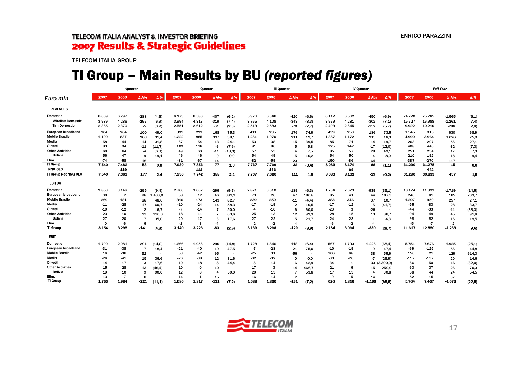TELECOM ITALIA GROUP

# TI Group – Main Results by BU *(reported figures)*

|                          | I Quarter |                |                 |            | Il Quarter |        |                 |                          | <b>III Quarter</b> |        |                 |            | <b>IV Quarter</b> |       |                  |            | <b>Full Year</b> |        |                |         |
|--------------------------|-----------|----------------|-----------------|------------|------------|--------|-----------------|--------------------------|--------------------|--------|-----------------|------------|-------------------|-------|------------------|------------|------------------|--------|----------------|---------|
| Euro min                 | 2007      | 2006           | $\triangle$ Abs | $\Delta$ % | 2007       | 2006   | $\triangle$ Abs | $\Delta$ %               | 2007               | 2006   | $\triangle$ Abs | $\Delta$ % | 2007              | 2006  | $\triangle$ Abs  | $\Delta$ % | 2007             | 2006   | $\Delta$ Abs   | Δ%      |
| <b>REVENUES</b>          |           |                |                 |            |            |        |                 |                          |                    |        |                 |            |                   |       |                  |            |                  |        |                |         |
| <b>Domestic</b>          | 6.009     | 6.297          | $-288$          | (4,6)      | 6.173      | 6.580  | $-407$          | (6,2)                    | 5.926              | 6.346  | $-420$          | (6, 6)     | 6.112             | 6.562 | -450             | (6, 9)     | 24.220           | 25.785 | $-1.565$       | (6,1)   |
| <b>Wireline Domestic</b> | 3.989     | 4.286          | $-297$          | (6, 9)     | 3.994      | 4.313  | $-319$          | (7, 4)                   | 3.765              | 4.108  | $-343$          | (8,3)      | 3.979             | 4.281 | $-302$           | (7,1)      | 15.727           | 16.988 | $-1.261$       | (7, 4)  |
| <b>Tim Domestic</b>      | 2.365     | 2.370          | -5              | (0,2)      | 2.551      | 2.612  | $-61$           | (2,3)                    | 2.513              | 2.583  | -70             | (2,7)      | 2.493             | 2.645 | $-152$           | (5,7)      | 9.922            | 10.210 | $-288$         | (2,8)   |
| European broadband       | 304       | 204            | 100             | 49,0       | 391        | 223    | 168             | 75,3                     | 411                | 235    | 176             | 74,9       | 439               | 253   | 186              | 73,5       | 1.545            | 915    | 630            | 68,9    |
| <b>Mobile Brasile</b>    | 1.100     | 837            | 263             | 31.4       | 1.222      | 885    | 337             | 38.1                     | 1.281              | 1.070  | 211             | 19.7       | 1.387             | 1.172 | 215              | 18.3       | 4.990            | 3.964  | 1.026          | 25,9    |
| Media                    | 58        | 44             | 14              | 31,8       | 67         | 54     | 13              | 24,1                     | 53                 | 38     | 15              | 39.5       | 85                | 71    | 14               | 19.7       | 263              | 207    | 56             | 27,1    |
| Olivetti                 | 83        | 94             | $-11$           | (11.7)     | 109        | 118    | -9              | (7,6)                    | 91                 | 86     | 5               | 5.8        | 125               | 142   | $-17$            | (12,0)     | 408              | 440    | -32            | (7,3)   |
| <b>Other Activities</b>  | 60        | 64             | $-4$            | (6,3)      | 49         | 60     | $-11$           | (18, 3)                  | 57                 | 53     | 4               | 7,5        | 85                | 57    | 28               | 49.1       | 251              | 234    | 17             | 7,3     |
| <b>Bolivia</b>           | 56        | 47             | 9               | 19.1       | 46         | 46     | $\mathbf 0$     | 0.0                      | 54                 | 49     | 5               | 10,2       | 54                | 50    | $\overline{4}$   | 8.0        | 210              | 192    | 18             | 9,4     |
| Elim.                    | $-74$     | -58            | -16             |            | $-81$      | -67    | $-14$           |                          | -82                | $-59$  | -23             |            | -150              | -86   | $-64$            |            | -387             | $-270$ | $-117$         |         |
| TI Group                 | 7.540     | 7.482          | 58              | 0.8        | 7.930      | 7.853  | 77              | 1.0                      | 7.737              | 7.769  | $-32$           | (0.4)      | 8.083             | 8.171 | -88              | (1.1)      | 31.290           | 31.275 | 15             | 0.0     |
| <b>NNG OLO</b>           |           | $-119$         |                 |            |            | $-111$ |                 |                          |                    | $-143$ |                 |            |                   | -69   |                  |            |                  | $-442$ |                |         |
| TI Group Net NNG OLO     | 7.540     | 7.363          | 177             | 2,4        | 7.930      | 7.742  | 188             | 2.4                      | 7.737              | 7.626  | 111             | 1.5        | 8.083             | 8.102 | $-19$            | (0,2)      | 31.290           | 30.833 | 457            | 1,5     |
| <b>EBITDA</b>            |           |                |                 |            |            |        |                 |                          |                    |        |                 |            |                   |       |                  |            |                  |        |                |         |
| <b>Domestic</b>          | 2.853     | 3.148          | $-295$          | (9.4)      | 2.766      | 3.062  | $-296$          | (9,7)                    | 2.821              | 3.010  | $-189$          | (6,3)      | 1.734             | 2.673 | -939             | (35.1)     | 10.174           | 11.893 | $-1.719$       | (14, 5) |
| European broadband       | 30        | $\overline{2}$ | 28              | .400,0     | 58         | 12     | 46              | 383,3                    | 73                 | 26     | 47              | 180,8      | 85                | 41    | 44               | 107,3      | 246              | 81     | 165            | 203,7   |
| <b>Mobile Brasile</b>    | 269       | 181            | 88              | 48.6       | 316        | 173    | 143             | 82,7                     | 239                | 250    | $-11$           | (4,4)      | 383               | 346   | 37               | 10.7       | 1.207            | 950    | 257            | 27,1    |
| Media                    | $-11$     | $-28$          | 17              | 60,7       | -10        | $-24$  | 14              | 58,3                     | $-17$              | $-19$  | $\overline{2}$  | 10.5       | $-17$             | -12   | $-5$             | (41,7)     | $-55$            | -83    | 28             | 33,7    |
| Olivetti                 | $-10$     | -12            | $\overline{2}$  | 16.7       | $-7$       | $-14$  |                 | 50.0                     | $-4$               | $-10$  | 6               | 60.0       | -23               | 3     | $-26$            |            | $-44$            | -33    | $-11$          | (33,3)  |
| <b>Other Activities</b>  | 23        | 10             | 13              | 130.0      | 18         | 11     |                 | 63.6                     | 25                 | 13     | 12              | 92.3       | 28                | 15    | 13               | 86.7       | 94               | 49     | 45             | 91,8    |
| <b>Bolivia</b>           | 27        | 20             |                 | 35.0       | 20         | 17     | з               | 17.6                     | 27                 | 22     | 5               | 22.7       | 24                | 23    | $\mathbf{1}$     | 4.3        | 98               | 82     | 16             | 19,5    |
| Elim.                    | $\Omega$  | $-6$           | 6               |            | $-1$       | 3      | $-4$            |                          | $\overline{2}$     | $-2$   | $\mathbf{A}$    |            | $-6$              | $-2$  | $-4$             |            | -5               | $-7$   | $\overline{2}$ |         |
| <b>TI Group</b>          | 3.154     | 3.295          | $-141$          | (4.3)      | 3.140      | 3.223  | -83             | (2,6)                    | 3.139              | 3.268  | $-129$          | (3,9)      | 2.184             | 3.064 | -880             | (28.7)     | 11.617           | 12.850 | $-1.233$       | (9,6)   |
| <b>EBIT</b>              |           |                |                 |            |            |        |                 |                          |                    |        |                 |            |                   |       |                  |            |                  |        |                |         |
| <b>Domestic</b>          | 1.790     | 2.081          | $-291$          | (14,0)     | 1.666      | 1.956  | $-290$          | (14, 8)                  | 1.728              | 1.846  | $-118$          | (6, 4)     | 567               | 1.793 | $-1.226$         | (68, 4)    | 5.751            | 7.676  | $-1.925$       | (25,1)  |
| European broadband       | $-31$     | $-38$          | $\overline{7}$  | 18,4       | $-21$      | -40    | 19              | 47,5                     | -7                 | $-28$  | 21              | 75.0       | $-10$             | $-19$ | 9                | 47.4       | $-69$            | $-125$ | 56             | 44,8    |
| <b>Mobile Brasile</b>    | 16        | $-36$          | 52              |            | 53         | -42    | 95              | . .                      | $-25$              | 31     | -56             |            | 106               | 68    | 38               | 55.9       | 150              | 21     | 129            | 614,3   |
| Media                    | $-26$     | -41            | 15              | 36.6       | $-26$      | $-38$  | 12              | 31.6                     | -32                | $-32$  | 0               | 0.0        | -33               | -26   | $-7$             | (26.9)     | $-117$           | $-137$ | 20             | 14,6    |
| Olivetti                 | $-14$     | $-17$          | 3               | 17.6       | $-10$      | $-18$  | 8               | 44,4                     | -8                 | $-14$  | 6               | 42,9       | -34               | $-1$  | $-33$            | (3.300, 0) | -66              | $-50$  | $-16$          | (32,0)  |
| <b>Other Activities</b>  | 15        | 28             | $-13$           | (46.4)     | 10         | 0      | 10              | $\overline{\phantom{a}}$ | 17                 | 3      | 14              | 466.7      | 21                | 6     | 15               | 250.0      | 63               | 37     | 26             | 70,3    |
| <b>Bolivia</b>           | 19        | 10             | q               | 90,0       | 12         | 8      | 4               | 50,0                     | 20                 | 13     |                 | 53,8       | 17                | 13    | $\boldsymbol{4}$ | 30,8       | 68               | 44     | 24             | 54,5    |
| Elim.                    | 13        | 7              | 6               |            | 14         | $-1$   | 15              |                          | 16                 | 14     | ີ               |            | 9                 | $-5$  | 14               |            | 52               | 15     | 37             |         |
| <b>TI Group</b>          | 1.763     | 1.984          | $-221$          | (11.1)     | 1.686      | 1.817  | $-131$          | (7.2)                    | 1.689              | 1.820  | $-131$          | (7.2)      | 626               | 1.816 | $-1.190$         | (65.5)     | 5.764            | 7.437  | $-1.673$       | (22.5)  |